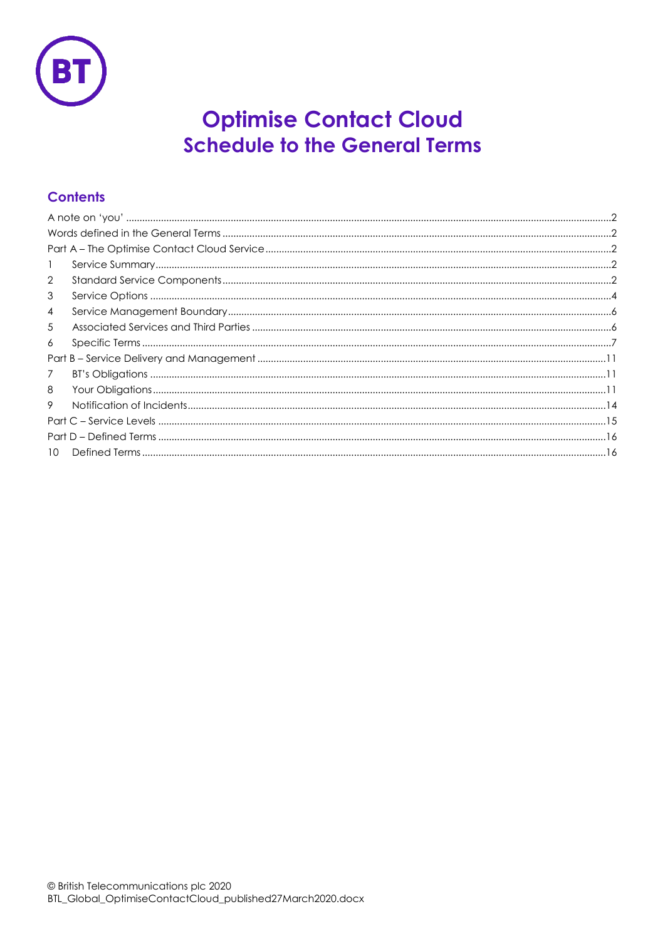

# **Optimise Contact Cloud Schedule to the General Terms**

# **Contents**

| $\mathbf{1}$    |  |  |
|-----------------|--|--|
| $\overline{2}$  |  |  |
| 3               |  |  |
| 4               |  |  |
| 5               |  |  |
| 6               |  |  |
|                 |  |  |
| $\overline{7}$  |  |  |
| 8               |  |  |
| 9               |  |  |
|                 |  |  |
|                 |  |  |
| 10 <sup>2</sup> |  |  |
|                 |  |  |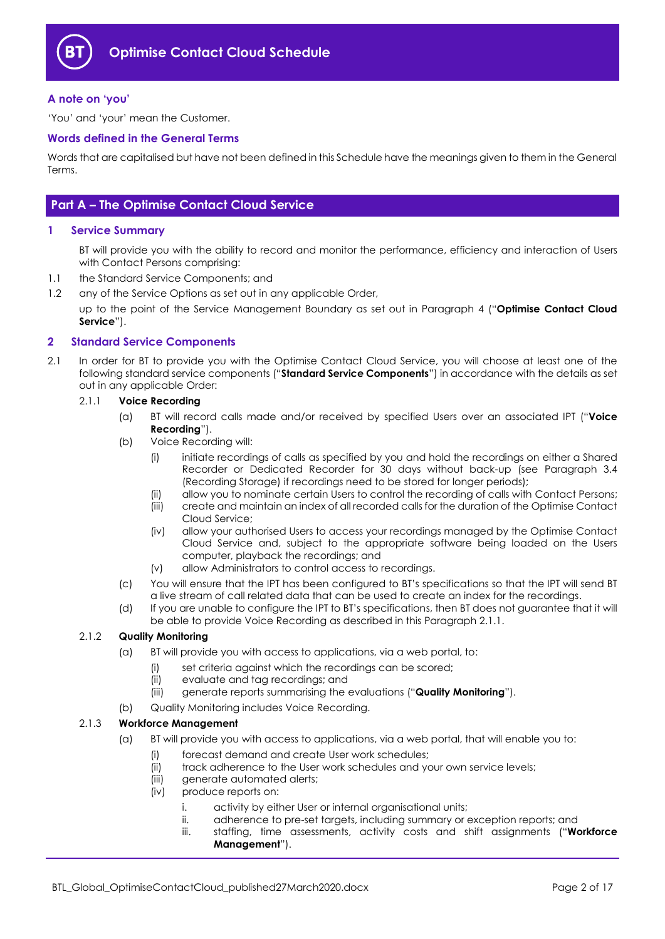

#### <span id="page-1-0"></span>**A note on 'you'**

'You' and 'your' mean the Customer.

#### <span id="page-1-1"></span>**Words defined in the General Terms**

Words that are capitalised but have not been defined in this Schedule have the meanings given to them in the General Terms.

## <span id="page-1-2"></span>**Part A – The Optimise Contact Cloud Service**

#### <span id="page-1-3"></span>**1 Service Summary**

BT will provide you with the ability to record and monitor the performance, efficiency and interaction of Users with Contact Persons comprising:

- 1.1 the Standard Service Components; and
- 1.2 any of the Service Options as set out in any applicable Order,

up to the point of the Service Management Boundary as set out in Paragraph [4](#page-5-0) ("**Optimise Contact Cloud Service**").

#### <span id="page-1-4"></span>**2 Standard Service Components**

2.1 In order for BT to provide you with the Optimise Contact Cloud Service, you will choose at least one of the following standard service components ("**Standard Service Components**") in accordance with the details as set out in any applicable Order:

#### <span id="page-1-5"></span>2.1.1 **Voice Recording**

- (a) BT will record calls made and/or received by specified Users over an associated IPT ("**Voice Recording**").
- (b) Voice Recording will:
	- (i) initiate recordings of calls as specified by you and hold the recordings on either a Shared Recorder or Dedicated Recorder for 30 days without back-up (see Paragraph [3.4](#page-4-0) (Recording Storage) if recordings need to be stored for longer periods);
	- (ii) allow you to nominate certain Users to control the recording of calls with Contact Persons;
	- (iii) create and maintain an index of all recorded calls for the duration of the Optimise Contact Cloud Service;
	- (iv) allow your authorised Users to access your recordings managed by the Optimise Contact Cloud Service and, subject to the appropriate software being loaded on the Users computer, playback the recordings; and
	- (v) allow Administrators to control access to recordings.
- (c) You will ensure that the IPT has been configured to BT's specifications so that the IPT will send BT a live stream of call related data that can be used to create an index for the recordings.
- (d) If you are unable to configure the IPT to BT's specifications, then BT does not guarantee that it will be able to provide Voice Recording as described in this Paragraph [2.1.1.](#page-1-5)

#### <span id="page-1-6"></span>2.1.2 **Quality Monitoring**

- (a) BT will provide you with access to applications, via a web portal, to:
	- (i) set criteria against which the recordings can be scored;
	- (ii) evaluate and tag recordings; and
	- (iii) generate reports summarising the evaluations ("**Quality Monitoring**").
- (b) Quality Monitoring includes Voice Recording.

#### <span id="page-1-7"></span>2.1.3 **Workforce Management**

- (a) BT will provide you with access to applications, via a web portal, that will enable you to:
	- (i) forecast demand and create User work schedules;
	- (ii) track adherence to the User work schedules and your own service levels;
	- (iii) generate automated alerts;
	- (iv) produce reports on:
		- i. activity by either User or internal organisational units;
		- ii. adherence to pre-set targets, including summary or exception reports; and
		- iii. staffing, time assessments, activity costs and shift assignments ("**Workforce Management**").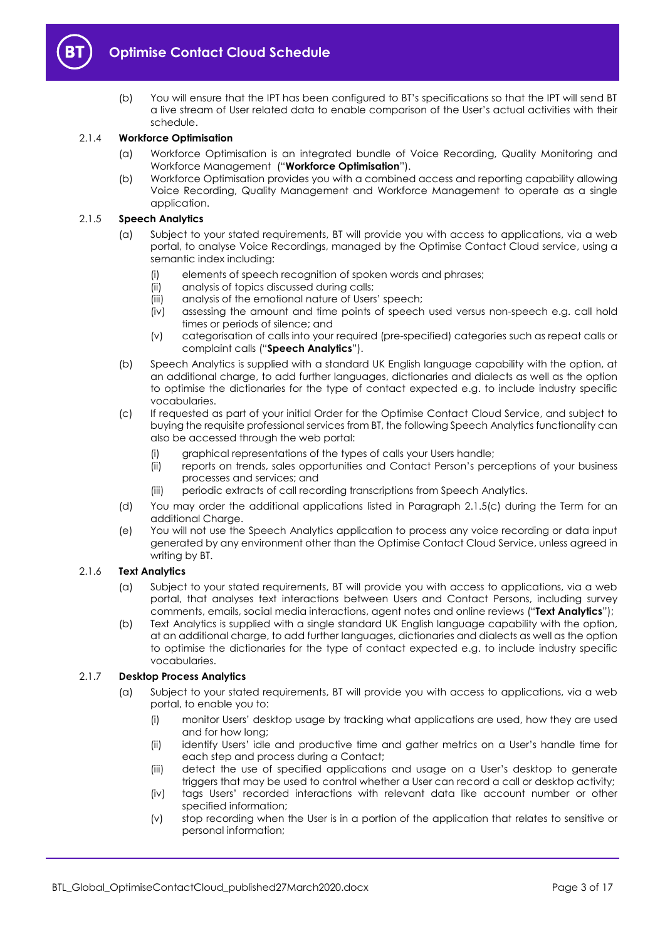

(b) You will ensure that the IPT has been configured to BT's specifications so that the IPT will send BT a live stream of User related data to enable comparison of the User's actual activities with their schedule.

#### <span id="page-2-6"></span>2.1.4 **Workforce Optimisation**

- (a) Workforce Optimisation is an integrated bundle of Voice Recording, Quality Monitoring and Workforce Management ("**Workforce Optimisation**").
- (b) Workforce Optimisation provides you with a combined access and reporting capability allowing Voice Recording, Quality Management and Workforce Management to operate as a single application.

#### <span id="page-2-4"></span>2.1.5 **Speech Analytics**

- (a) Subject to your stated requirements, BT will provide you with access to applications, via a web portal, to analyse Voice Recordings, managed by the Optimise Contact Cloud service, using a semantic index including:
	- (i) elements of speech recognition of spoken words and phrases;
	- (ii) analysis of topics discussed during calls;
	- (iii) analysis of the emotional nature of Users' speech;
	- (iv) assessing the amount and time points of speech used versus non-speech e.g. call hold times or periods of silence; and
	- (v) categorisation of calls into your required (pre-specified) categories such as repeat calls or complaint calls ("**Speech Analytics**").
- (b) Speech Analytics is supplied with a standard UK English language capability with the option, at an additional charge, to add further languages, dictionaries and dialects as well as the option to optimise the dictionaries for the type of contact expected e.g. to include industry specific vocabularies.
- <span id="page-2-0"></span>(c) If requested as part of your initial Order for the Optimise Contact Cloud Service, and subject to buying the requisite professional services from BT, the following Speech Analytics functionality can also be accessed through the web portal:
	- (i) graphical representations of the types of calls your Users handle;
	- (ii) reports on trends, sales opportunities and Contact Person's perceptions of your business processes and services; and
	- (iii) periodic extracts of call recording transcriptions from Speech Analytics.
- (d) You may order the additional applications listed in Paragraph [2.1.5\(c\)](#page-2-0) during the Term for an additional Charge.
- (e) You will not use the Speech Analytics application to process any voice recording or data input generated by any environment other than the Optimise Contact Cloud Service, unless agreed in writing by BT.

#### <span id="page-2-5"></span>2.1.6 **Text Analytics**

- (a) Subject to your stated requirements, BT will provide you with access to applications, via a web portal, that analyses text interactions between Users and Contact Persons, including survey comments, emails, social media interactions, agent notes and online reviews ("**Text Analytics**");
- (b) Text Analytics is supplied with a single standard UK English language capability with the option, at an additional charge, to add further languages, dictionaries and dialects as well as the option to optimise the dictionaries for the type of contact expected e.g. to include industry specific vocabularies.

#### <span id="page-2-3"></span><span id="page-2-2"></span><span id="page-2-1"></span>2.1.7 **Desktop Process Analytics**

- (a) Subject to your stated requirements, BT will provide you with access to applications, via a web portal, to enable you to:
	- (i) monitor Users' desktop usage by tracking what applications are used, how they are used and for how long;
	- (ii) identify Users' idle and productive time and gather metrics on a User's handle time for each step and process during a Contact;
	- (iii) detect the use of specified applications and usage on a User's desktop to generate triggers that may be used to control whether a User can record a call or desktop activity;
	- (iv) tags Users' recorded interactions with relevant data like account number or other specified information;
	- (v) stop recording when the User is in a portion of the application that relates to sensitive or personal information;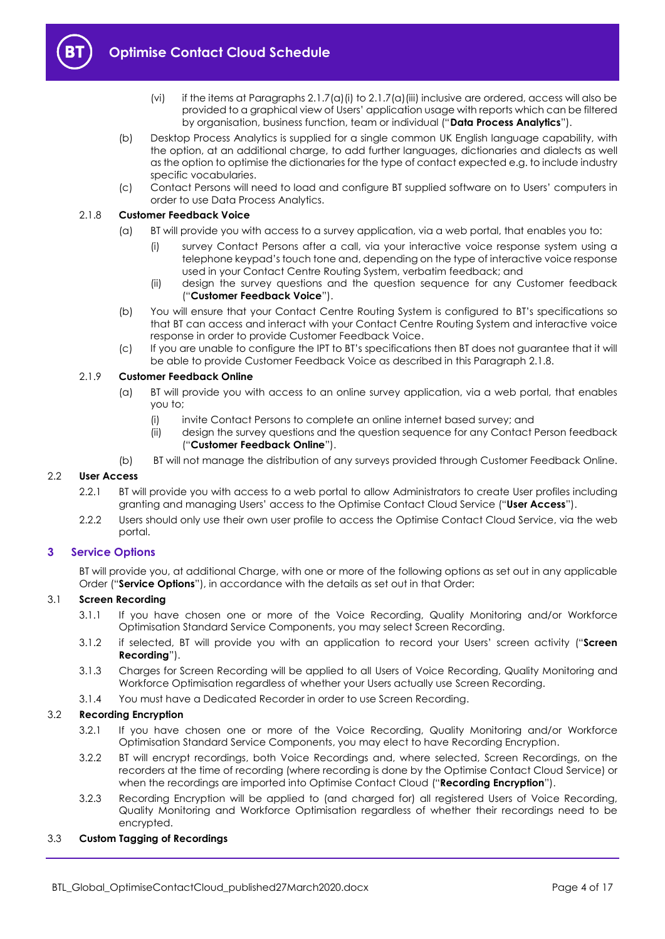

- (vi) if the items at Paragraphs  $2.1.7(a)$  (i) to  $2.1.7(a)$  (iii) inclusive are ordered, access will also be provided to a graphical view of Users' application usage with reports which can be filtered by organisation, business function, team or individual ("**Data Process Analytics**").
- (b) Desktop Process Analytics is supplied for a single common UK English language capability, with the option, at an additional charge, to add further languages, dictionaries and dialects as well as the option to optimise the dictionaries for the type of contact expected e.g. to include industry specific vocabularies.
- (c) Contact Persons will need to load and configure BT supplied software on to Users' computers in order to use Data Process Analytics.

#### <span id="page-3-1"></span>2.1.8 **Customer Feedback Voice**

- (a) BT will provide you with access to a survey application, via a web portal, that enables you to:
	- (i) survey Contact Persons after a call, via your interactive voice response system using a telephone keypad's touch tone and, depending on the type of interactive voice response used in your Contact Centre Routing System, verbatim feedback; and
	- (ii) design the survey questions and the question sequence for any Customer feedback ("**Customer Feedback Voice**").
- (b) You will ensure that your Contact Centre Routing System is configured to BT's specifications so that BT can access and interact with your Contact Centre Routing System and interactive voice response in order to provide Customer Feedback Voice.
- (c) If you are unable to configure the IPT to BT's specifications then BT does not guarantee that it will be able to provide Customer Feedback Voice as described in this Paragrap[h 2.1.8.](#page-3-1)

#### <span id="page-3-3"></span>2.1.9 **Customer Feedback Online**

- (a) BT will provide you with access to an online survey application, via a web portal, that enables you to;
	- (i) invite Contact Persons to complete an online internet based survey; and
	- (ii) design the survey questions and the question sequence for any Contact Person feedback ("**Customer Feedback Online**").
- (b) BT will not manage the distribution of any surveys provided through Customer Feedback Online.

#### <span id="page-3-6"></span>2.2 **User Access**

- 2.2.1 BT will provide you with access to a web portal to allow Administrators to create User profiles including granting and managing Users' access to the Optimise Contact Cloud Service ("**User Access**").
- 2.2.2 Users should only use their own user profile to access the Optimise Contact Cloud Service, via the web portal.

#### <span id="page-3-0"></span>**3 Service Options**

BT will provide you, at additional Charge, with one or more of the following options as set out in any applicable Order ("**Service Options**"), in accordance with the details as set out in that Order:

#### <span id="page-3-5"></span>3.1 **Screen Recording**

- 3.1.1 If you have chosen one or more of the Voice Recording, Quality Monitoring and/or Workforce Optimisation Standard Service Components, you may select Screen Recording.
- 3.1.2 if selected, BT will provide you with an application to record your Users' screen activity ("**Screen Recording**").
- 3.1.3 Charges for Screen Recording will be applied to all Users of Voice Recording, Quality Monitoring and Workforce Optimisation regardless of whether your Users actually use Screen Recording.
- 3.1.4 You must have a Dedicated Recorder in order to use Screen Recording.

#### <span id="page-3-4"></span>3.2 **Recording Encryption**

- 3.2.1 If you have chosen one or more of the Voice Recording, Quality Monitoring and/or Workforce Optimisation Standard Service Components, you may elect to have Recording Encryption.
- 3.2.2 BT will encrypt recordings, both Voice Recordings and, where selected, Screen Recordings, on the recorders at the time of recording (where recording is done by the Optimise Contact Cloud Service) or when the recordings are imported into Optimise Contact Cloud ("**Recording Encryption**").
- 3.2.3 Recording Encryption will be applied to (and charged for) all registered Users of Voice Recording, Quality Monitoring and Workforce Optimisation regardless of whether their recordings need to be encrypted.

#### <span id="page-3-2"></span>3.3 **Custom Tagging of Recordings**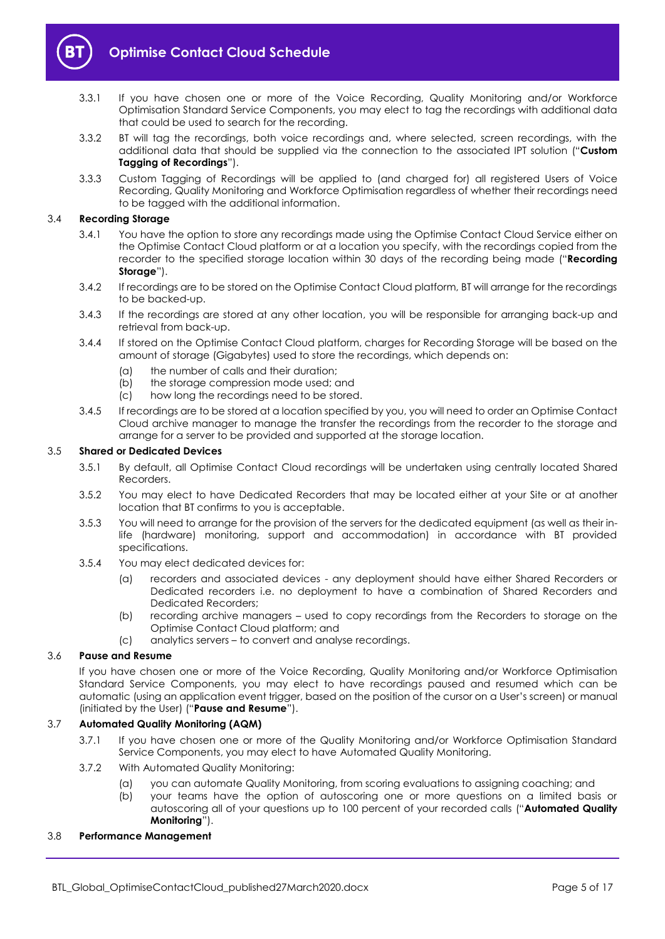

- 3.3.1 If you have chosen one or more of the Voice Recording, Quality Monitoring and/or Workforce Optimisation Standard Service Components, you may elect to tag the recordings with additional data that could be used to search for the recording.
- 3.3.2 BT will tag the recordings, both voice recordings and, where selected, screen recordings, with the additional data that should be supplied via the connection to the associated IPT solution ("**Custom Tagging of Recordings**").
- 3.3.3 Custom Tagging of Recordings will be applied to (and charged for) all registered Users of Voice Recording, Quality Monitoring and Workforce Optimisation regardless of whether their recordings need to be tagged with the additional information.

#### <span id="page-4-0"></span>3.4 **Recording Storage**

- 3.4.1 You have the option to store any recordings made using the Optimise Contact Cloud Service either on the Optimise Contact Cloud platform or at a location you specify, with the recordings copied from the recorder to the specified storage location within 30 days of the recording being made ("**Recording Storage**").
- 3.4.2 If recordings are to be stored on the Optimise Contact Cloud platform, BT will arrange for the recordings to be backed-up.
- 3.4.3 If the recordings are stored at any other location, you will be responsible for arranging back-up and retrieval from back-up.
- 3.4.4 If stored on the Optimise Contact Cloud platform, charges for Recording Storage will be based on the amount of storage (Gigabytes) used to store the recordings, which depends on:
	- (a) the number of calls and their duration;
	- (b) the storage compression mode used; and
	- (c) how long the recordings need to be stored.
- 3.4.5 If recordings are to be stored at a location specified by you, you will need to order an Optimise Contact Cloud archive manager to manage the transfer the recordings from the recorder to the storage and arrange for a server to be provided and supported at the storage location.

#### 3.5 **Shared or Dedicated Devices**

- 3.5.1 By default, all Optimise Contact Cloud recordings will be undertaken using centrally located Shared Recorders.
- 3.5.2 You may elect to have Dedicated Recorders that may be located either at your Site or at another location that BT confirms to you is acceptable.
- 3.5.3 You will need to arrange for the provision of the servers for the dedicated equipment (as well as their inlife (hardware) monitoring, support and accommodation) in accordance with BT provided specifications.
- 3.5.4 You may elect dedicated devices for:
	- (a) recorders and associated devices any deployment should have either Shared Recorders or Dedicated recorders i.e. no deployment to have a combination of Shared Recorders and Dedicated Recorders;
	- (b) recording archive managers used to copy recordings from the Recorders to storage on the Optimise Contact Cloud platform; and
	- (c) analytics servers to convert and analyse recordings.

#### <span id="page-4-2"></span>3.6 **Pause and Resume**

If you have chosen one or more of the Voice Recording, Quality Monitoring and/or Workforce Optimisation Standard Service Components, you may elect to have recordings paused and resumed which can be automatic (using an application event trigger, based on the position of the cursor on a User's screen) or manual (initiated by the User) ("**Pause and Resume**").

#### <span id="page-4-1"></span>3.7 **Automated Quality Monitoring (AQM)**

- 3.7.1 If you have chosen one or more of the Quality Monitoring and/or Workforce Optimisation Standard Service Components, you may elect to have Automated Quality Monitoring.
- 3.7.2 With Automated Quality Monitoring:
	- (a) you can automate Quality Monitoring, from scoring evaluations to assigning coaching; and
	- (b) your teams have the option of autoscoring one or more questions on a limited basis or autoscoring all of your questions up to 100 percent of your recorded calls ("**Automated Quality Monitoring**").

#### <span id="page-4-3"></span>3.8 **Performance Management**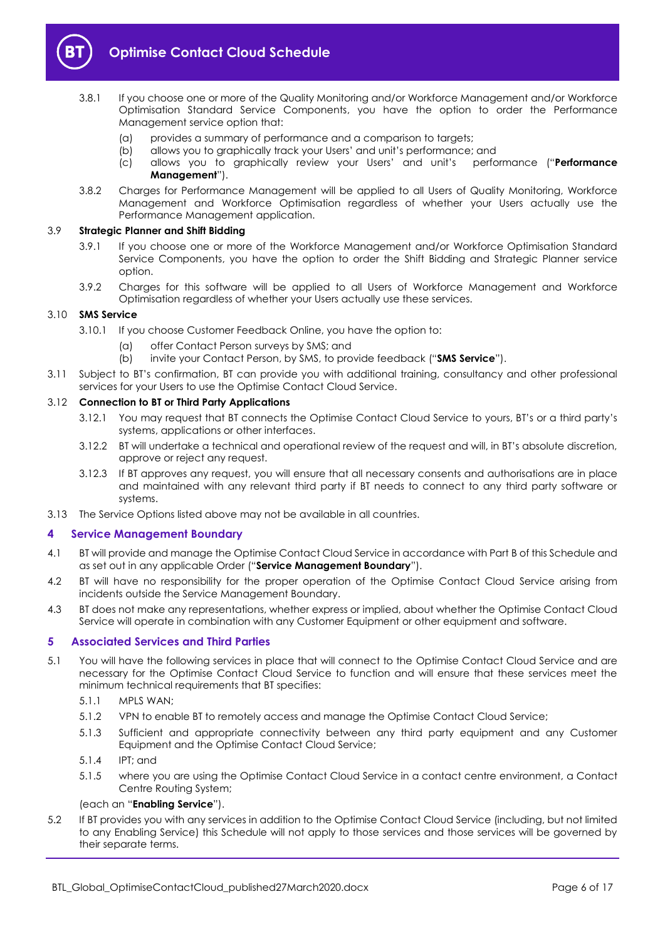

- 3.8.1 If you choose one or more of the Quality Monitoring and/or Workforce Management and/or Workforce Optimisation Standard Service Components, you have the option to order the Performance Management service option that:
	- (a) provides a summary of performance and a comparison to targets;
	- (b) allows you to graphically track your Users' and unit's performance; and
	- (c) allows you to graphically review your Users' and unit's performance ("**Performance Management**").
- 3.8.2 Charges for Performance Management will be applied to all Users of Quality Monitoring, Workforce Management and Workforce Optimisation regardless of whether your Users actually use the Performance Management application.

#### <span id="page-5-5"></span>3.9 **Strategic Planner and Shift Bidding**

- 3.9.1 If you choose one or more of the Workforce Management and/or Workforce Optimisation Standard Service Components, you have the option to order the Shift Bidding and Strategic Planner service option.
- 3.9.2 Charges for this software will be applied to all Users of Workforce Management and Workforce Optimisation regardless of whether your Users actually use these services.

#### <span id="page-5-4"></span>3.10 **SMS Service**

- 3.10.1 If you choose Customer Feedback Online, you have the option to:
	- (a) offer Contact Person surveys by SMS; and
	- (b) invite your Contact Person, by SMS, to provide feedback ("**SMS Service**").
- 3.11 Subject to BT's confirmation, BT can provide you with additional training, consultancy and other professional services for your Users to use the Optimise Contact Cloud Service.

#### 3.12 **Connection to BT or Third Party Applications**

- 3.12.1 You may request that BT connects the Optimise Contact Cloud Service to yours, BT's or a third party's systems, applications or other interfaces.
- 3.12.2 BT will undertake a technical and operational review of the request and will, in BT's absolute discretion, approve or reject any request.
- 3.12.3 If BT approves any request, you will ensure that all necessary consents and authorisations are in place and maintained with any relevant third party if BT needs to connect to any third party software or systems.
- 3.13 The Service Options listed above may not be available in all countries.

#### <span id="page-5-0"></span>**4 Service Management Boundary**

- <span id="page-5-3"></span>4.1 BT will provide and manage the Optimise Contact Cloud Service in accordance with Part B of this Schedule and as set out in any applicable Order ("**Service Management Boundary**").
- 4.2 BT will have no responsibility for the proper operation of the Optimise Contact Cloud Service arising from incidents outside the Service Management Boundary.
- 4.3 BT does not make any representations, whether express or implied, about whether the Optimise Contact Cloud Service will operate in combination with any Customer Equipment or other equipment and software.

#### <span id="page-5-1"></span>**5 Associated Services and Third Parties**

- <span id="page-5-2"></span>5.1 You will have the following services in place that will connect to the Optimise Contact Cloud Service and are necessary for the Optimise Contact Cloud Service to function and will ensure that these services meet the minimum technical requirements that BT specifies:
	- 5.1.1 MPLS WAN;
	- 5.1.2 VPN to enable BT to remotely access and manage the Optimise Contact Cloud Service;
	- 5.1.3 Sufficient and appropriate connectivity between any third party equipment and any Customer Equipment and the Optimise Contact Cloud Service;
	- 5.1.4 IPT; and
	- 5.1.5 where you are using the Optimise Contact Cloud Service in a contact centre environment, a Contact Centre Routing System;

#### (each an "**Enabling Service**").

5.2 If BT provides you with any services in addition to the Optimise Contact Cloud Service (including, but not limited to any Enabling Service) this Schedule will not apply to those services and those services will be governed by their separate terms.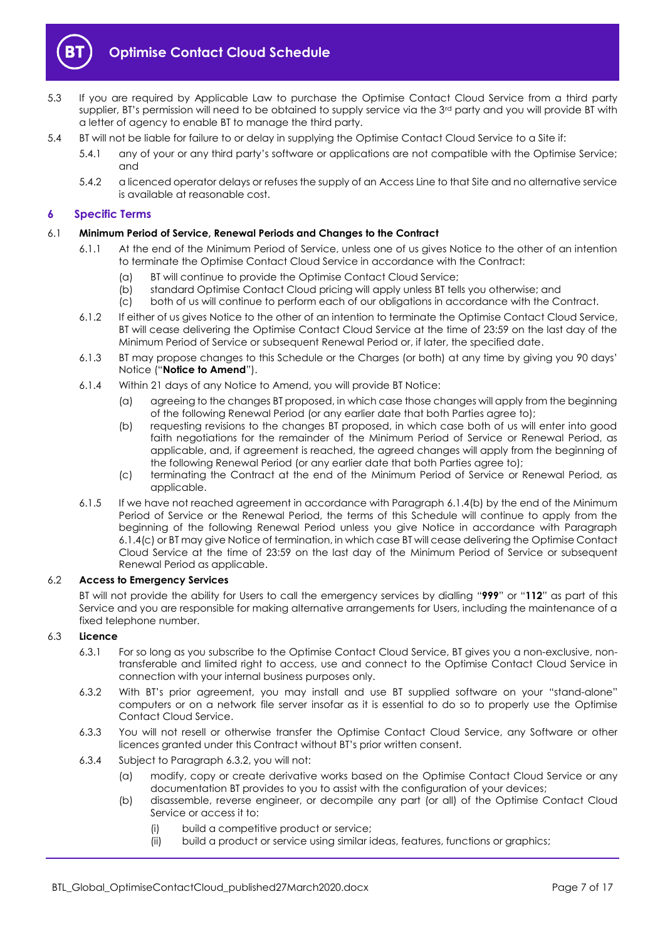

- 5.3 If you are required by Applicable Law to purchase the Optimise Contact Cloud Service from a third party supplier, BT's permission will need to be obtained to supply service via the 3<sup>rd</sup> party and you will provide BT with a letter of agency to enable BT to manage the third party.
- 5.4 BT will not be liable for failure to or delay in supplying the Optimise Contact Cloud Service to a Site if:
	- 5.4.1 any of your or any third party's software or applications are not compatible with the Optimise Service; and
	- 5.4.2 a licenced operator delays or refuses the supply of an Access Line to that Site and no alternative service is available at reasonable cost.

#### <span id="page-6-0"></span>**6 Specific Terms**

#### 6.1 **Minimum Period of Service, Renewal Periods and Changes to the Contract**

- 6.1.1 At the end of the Minimum Period of Service, unless one of us gives Notice to the other of an intention to terminate the Optimise Contact Cloud Service in accordance with the Contract:
	- (a) BT will continue to provide the Optimise Contact Cloud Service;
	- (b) standard Optimise Contact Cloud pricing will apply unless BT tells you otherwise; and
	- (c) both of us will continue to perform each of our obligations in accordance with the Contract.
- 6.1.2 If either of us gives Notice to the other of an intention to terminate the Optimise Contact Cloud Service, BT will cease delivering the Optimise Contact Cloud Service at the time of 23:59 on the last day of the Minimum Period of Service or subsequent Renewal Period or, if later, the specified date.
- <span id="page-6-4"></span>6.1.3 BT may propose changes to this Schedule or the Charges (or both) at any time by giving you 90 days' Notice ("**Notice to Amend**").
- <span id="page-6-1"></span>6.1.4 Within 21 days of any Notice to Amend, you will provide BT Notice:
	- (a) agreeing to the changes BT proposed, in which case those changes will apply from the beginning of the following Renewal Period (or any earlier date that both Parties agree to);
	- (b) requesting revisions to the changes BT proposed, in which case both of us will enter into good faith negotiations for the remainder of the Minimum Period of Service or Renewal Period, as applicable, and, if agreement is reached, the agreed changes will apply from the beginning of the following Renewal Period (or any earlier date that both Parties agree to);
	- (c) terminating the Contract at the end of the Minimum Period of Service or Renewal Period, as applicable.
- <span id="page-6-2"></span>6.1.5 If we have not reached agreement in accordance with Paragraph [6.1.4\(b\)](#page-6-1) by the end of the Minimum Period of Service or the Renewal Period, the terms of this Schedule will continue to apply from the beginning of the following Renewal Period unless you give Notice in accordance with Paragraph [6.1.4\(c\)](#page-6-2) or BT may give Notice of termination, in which case BT will cease delivering the Optimise Contact Cloud Service at the time of 23:59 on the last day of the Minimum Period of Service or subsequent Renewal Period as applicable.

#### 6.2 **Access to Emergency Services**

BT will not provide the ability for Users to call the emergency services by dialling "**999**" or "**112**" as part of this Service and you are responsible for making alternative arrangements for Users, including the maintenance of a fixed telephone number.

#### 6.3 **Licence**

- 6.3.1 For so long as you subscribe to the Optimise Contact Cloud Service, BT gives you a non-exclusive, nontransferable and limited right to access, use and connect to the Optimise Contact Cloud Service in connection with your internal business purposes only.
- <span id="page-6-3"></span>6.3.2 With BT's prior agreement, you may install and use BT supplied software on your "stand-alone" computers or on a network file server insofar as it is essential to do so to properly use the Optimise Contact Cloud Service.
- 6.3.3 You will not resell or otherwise transfer the Optimise Contact Cloud Service, any Software or other licences granted under this Contract without BT's prior written consent.
- 6.3.4 Subject to Paragraph [6.3.2,](#page-6-3) you will not:
	- (a) modify, copy or create derivative works based on the Optimise Contact Cloud Service or any documentation BT provides to you to assist with the configuration of your devices;
	- (b) disassemble, reverse engineer, or decompile any part (or all) of the Optimise Contact Cloud Service or access it to:
		- (i) build a competitive product or service;
		- (ii) build a product or service using similar ideas, features, functions or graphics;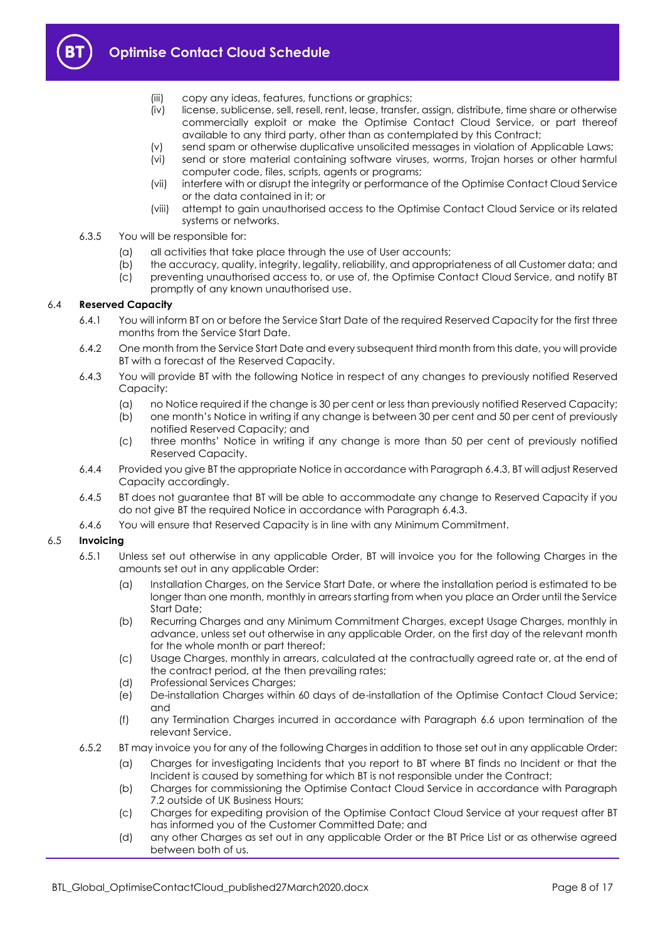

- (iii) copy any ideas, features, functions or graphics;
- (iv) license, sublicense, sell, resell, rent, lease, transfer, assign, distribute, time share or otherwise commercially exploit or make the Optimise Contact Cloud Service, or part thereof available to any third party, other than as contemplated by this Contract;
- (v) send spam or otherwise duplicative unsolicited messages in violation of Applicable Laws;
- (vi) send or store material containing software viruses, worms, Trojan horses or other harmful computer code, files, scripts, agents or programs;
- (vii) interfere with or disrupt the integrity or performance of the Optimise Contact Cloud Service or the data contained in it; or
- (viii) attempt to gain unauthorised access to the Optimise Contact Cloud Service or its related systems or networks.
- 6.3.5 You will be responsible for:
	- (a) all activities that take place through the use of User accounts;
	- (b) the accuracy, quality, integrity, legality, reliability, and appropriateness of all Customer data; and
	- (c) preventing unauthorised access to, or use of, the Optimise Contact Cloud Service, and notify BT promptly of any known unauthorised use.

#### 6.4 **Reserved Capacity**

- 6.4.1 You will inform BT on or before the Service Start Date of the required Reserved Capacity for the first three months from the Service Start Date.
- 6.4.2 One month from the Service Start Date and every subsequent third month from this date, you will provide BT with a forecast of the Reserved Capacity.
- <span id="page-7-0"></span>6.4.3 You will provide BT with the following Notice in respect of any changes to previously notified Reserved Capacity:
	- (a) no Notice required if the change is 30 per cent or less than previously notified Reserved Capacity;
	- (b) one month's Notice in writing if any change is between 30 per cent and 50 per cent of previously notified Reserved Capacity; and
	- (c) three months' Notice in writing if any change is more than 50 per cent of previously notified Reserved Capacity.
- 6.4.4 Provided you give BT the appropriate Notice in accordance with Paragrap[h 6.4.3,](#page-7-0) BT will adjust Reserved Capacity accordingly.
- 6.4.5 BT does not guarantee that BT will be able to accommodate any change to Reserved Capacity if you do not give BT the required Notice in accordance with Paragraph [6.4.3.](#page-7-0)
- 6.4.6 You will ensure that Reserved Capacity is in line with any Minimum Commitment.

#### 6.5 **Invoicing**

- 6.5.1 Unless set out otherwise in any applicable Order, BT will invoice you for the following Charges in the amounts set out in any applicable Order:
	- (a) Installation Charges, on the Service Start Date, or where the installation period is estimated to be longer than one month, monthly in arrears starting from when you place an Order until the Service Start Date;
	- (b) Recurring Charges and any Minimum Commitment Charges, except Usage Charges, monthly in advance, unless set out otherwise in any applicable Order, on the first day of the relevant month for the whole month or part thereof;
	- (c) Usage Charges, monthly in arrears, calculated at the contractually agreed rate or, at the end of the contract period, at the then prevailing rates;
	- (d) Professional Services Charges;
	- (e) De-installation Charges within 60 days of de-installation of the Optimise Contact Cloud Service; and
	- (f) any Termination Charges incurred in accordance with Paragraph [6.6](#page-8-0) upon termination of the relevant Service.
- 6.5.2 BT may invoice you for any of the following Charges in addition to those set out in any applicable Order:
	- (a) Charges for investigating Incidents that you report to BT where BT finds no Incident or that the Incident is caused by something for which BT is not responsible under the Contract;
	- (b) Charges for commissioning the Optimise Contact Cloud Service in accordance with Paragraph [7.2](#page-10-3) outside of UK Business Hours;
	- (c) Charges for expediting provision of the Optimise Contact Cloud Service at your request after BT has informed you of the Customer Committed Date; and
	- (d) any other Charges as set out in any applicable Order or the BT Price List or as otherwise agreed between both of us.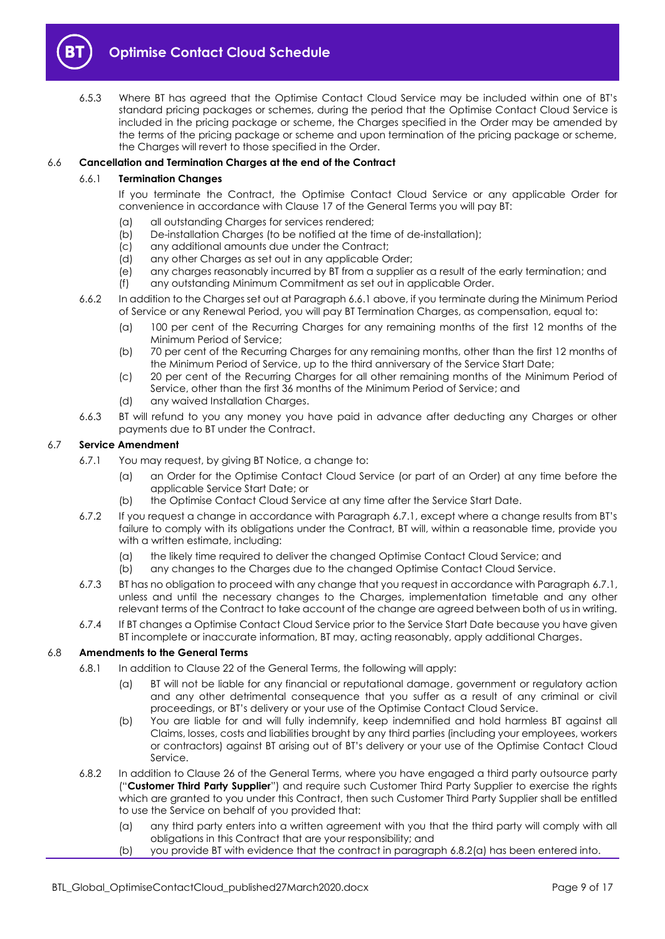

6.5.3 Where BT has agreed that the Optimise Contact Cloud Service may be included within one of BT's standard pricing packages or schemes, during the period that the Optimise Contact Cloud Service is included in the pricing package or scheme, the Charges specified in the Order may be amended by the terms of the pricing package or scheme and upon termination of the pricing package or scheme, the Charges will revert to those specified in the Order.

#### <span id="page-8-1"></span><span id="page-8-0"></span>6.6 **Cancellation and Termination Charges at the end of the Contract**

#### 6.6.1 **Termination Changes**

If you terminate the Contract, the Optimise Contact Cloud Service or any applicable Order for convenience in accordance with Clause 17 of the General Terms you will pay BT:

- (a) all outstanding Charges for services rendered;
- (b) De-installation Charges (to be notified at the time of de-installation);
- (c) any additional amounts due under the Contract;
- (d) any other Charges as set out in any applicable Order;
- (e) any charges reasonably incurred by BT from a supplier as a result of the early termination; and
- (f) any outstanding Minimum Commitment as set out in applicable Order.
- 6.6.2 In addition to the Charges set out at Paragraph [6.6.1](#page-8-1) above, if you terminate during the Minimum Period of Service or any Renewal Period, you will pay BT Termination Charges, as compensation, equal to:
	- (a) 100 per cent of the Recurring Charges for any remaining months of the first 12 months of the Minimum Period of Service;
	- (b) 70 per cent of the Recurring Charges for any remaining months, other than the first 12 months of the Minimum Period of Service, up to the third anniversary of the Service Start Date;
	- (c) 20 per cent of the Recurring Charges for all other remaining months of the Minimum Period of Service, other than the first 36 months of the Minimum Period of Service; and
	- (d) any waived Installation Charges.
- 6.6.3 BT will refund to you any money you have paid in advance after deducting any Charges or other payments due to BT under the Contract.

#### <span id="page-8-2"></span>6.7 **Service Amendment**

- 6.7.1 You may request, by giving BT Notice, a change to:
	- (a) an Order for the Optimise Contact Cloud Service (or part of an Order) at any time before the applicable Service Start Date; or
	- (b) the Optimise Contact Cloud Service at any time after the Service Start Date.
- 6.7.2 If you request a change in accordance with Paragraph [6.7.1](#page-8-2), except where a change results from BT's failure to comply with its obligations under the Contract, BT will, within a reasonable time, provide you with a written estimate, including:
	- (a) the likely time required to deliver the changed Optimise Contact Cloud Service; and
	- (b) any changes to the Charges due to the changed Optimise Contact Cloud Service.
- 6.7.3 BT has no obligation to proceed with any change that you request in accordance with Paragraph [6.7.1,](#page-8-2)  unless and until the necessary changes to the Charges, implementation timetable and any other relevant terms of the Contract to take account of the change are agreed between both of us in writing.
- 6.7.4 If BT changes a Optimise Contact Cloud Service prior to the Service Start Date because you have given BT incomplete or inaccurate information, BT may, acting reasonably, apply additional Charges.

#### 6.8 **Amendments to the General Terms**

- 6.8.1 In addition to Clause 22 of the General Terms, the following will apply:
	- (a) BT will not be liable for any financial or reputational damage, government or regulatory action and any other detrimental consequence that you suffer as a result of any criminal or civil proceedings, or BT's delivery or your use of the Optimise Contact Cloud Service.
	- (b) You are liable for and will fully indemnify, keep indemnified and hold harmless BT against all Claims, losses, costs and liabilities brought by any third parties (including your employees, workers or contractors) against BT arising out of BT's delivery or your use of the Optimise Contact Cloud Service.
- <span id="page-8-3"></span>6.8.2 In addition to Clause 26 of the General Terms, where you have engaged a third party outsource party ("**Customer Third Party Supplier**") and require such Customer Third Party Supplier to exercise the rights which are granted to you under this Contract, then such Customer Third Party Supplier shall be entitled to use the Service on behalf of you provided that:
	- (a) any third party enters into a written agreement with you that the third party will comply with all obligations in this Contract that are your responsibility; and
	- (b) you provide BT with evidence that the contract in paragraph [6.8.2\(a\)](#page-8-3) has been entered into.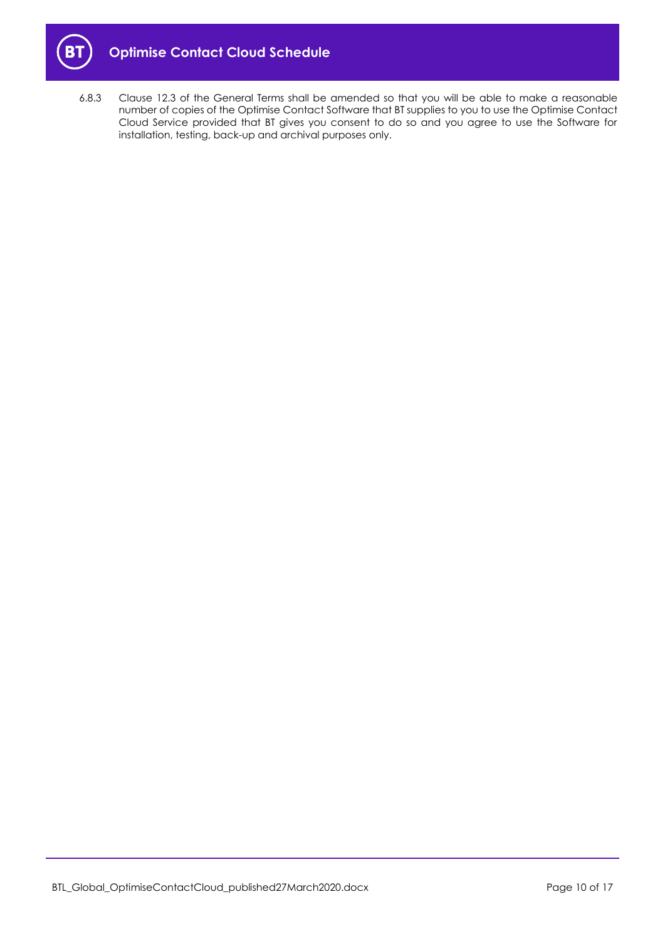

6.8.3 Clause 12.3 of the General Terms shall be amended so that you will be able to make a reasonable number of copies of the Optimise Contact Software that BT supplies to you to use the Optimise Contact Cloud Service provided that BT gives you consent to do so and you agree to use the Software for installation, testing, back-up and archival purposes only.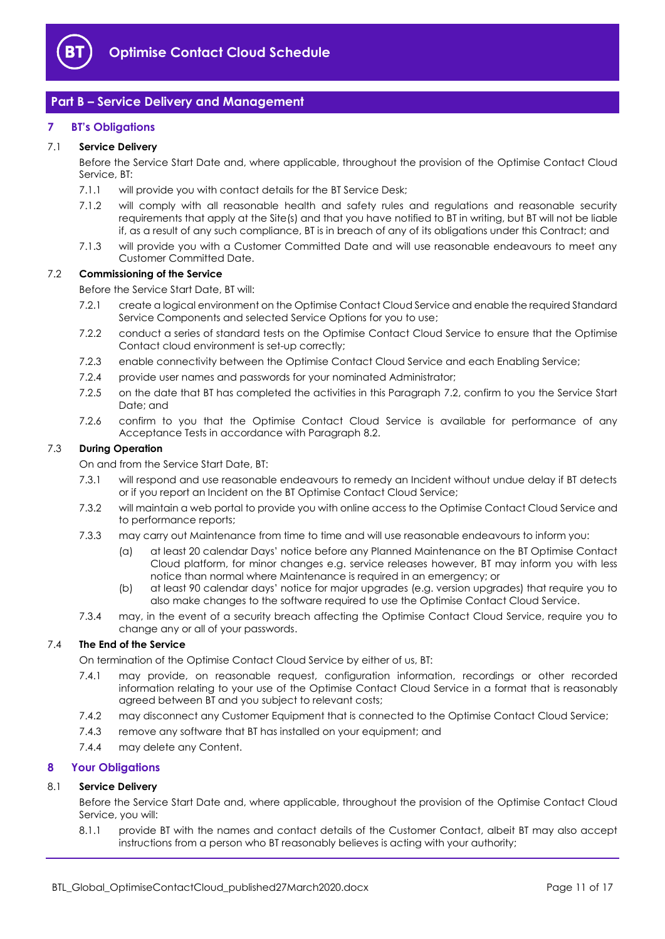

## <span id="page-10-0"></span>**Part B – Service Delivery and Management**

#### <span id="page-10-1"></span>**7 BT's Obligations**

#### 7.1 **Service Delivery**

Before the Service Start Date and, where applicable, throughout the provision of the Optimise Contact Cloud Service, BT:

- 7.1.1 will provide you with contact details for the BT Service Desk;
- 7.1.2 will comply with all reasonable health and safety rules and regulations and reasonable security requirements that apply at the Site(s) and that you have notified to BT in writing, but BT will not be liable if, as a result of any such compliance, BT is in breach of any of its obligations under this Contract; and
- 7.1.3 will provide you with a Customer Committed Date and will use reasonable endeavours to meet any Customer Committed Date.

#### <span id="page-10-3"></span>7.2 **Commissioning of the Service**

Before the Service Start Date, BT will:

- 7.2.1 create a logical environment on the Optimise Contact Cloud Service and enable the required Standard Service Components and selected Service Options for you to use;
- 7.2.2 conduct a series of standard tests on the Optimise Contact Cloud Service to ensure that the Optimise Contact cloud environment is set-up correctly;
- 7.2.3 enable connectivity between the Optimise Contact Cloud Service and each Enabling Service;
- 7.2.4 provide user names and passwords for your nominated Administrator;
- <span id="page-10-4"></span>7.2.5 on the date that BT has completed the activities in this Paragraph [7.2,](#page-10-3) confirm to you the Service Start Date; and
- 7.2.6 confirm to you that the Optimise Contact Cloud Service is available for performance of any Acceptance Tests in accordance with Paragraph [8.2.](#page-11-0)

#### <span id="page-10-5"></span>7.3 **During Operation**

On and from the Service Start Date, BT:

- 7.3.1 will respond and use reasonable endeavours to remedy an Incident without undue delay if BT detects or if you report an Incident on the BT Optimise Contact Cloud Service;
- 7.3.2 will maintain a web portal to provide you with online access to the Optimise Contact Cloud Service and to performance reports;
- 7.3.3 may carry out Maintenance from time to time and will use reasonable endeavours to inform you:
	- (a) at least 20 calendar Days' notice before any Planned Maintenance on the BT Optimise Contact Cloud platform, for minor changes e.g. service releases however, BT may inform you with less notice than normal where Maintenance is required in an emergency; or
	- (b) at least 90 calendar days' notice for major upgrades (e.g. version upgrades) that require you to also make changes to the software required to use the Optimise Contact Cloud Service.
- 7.3.4 may, in the event of a security breach affecting the Optimise Contact Cloud Service, require you to change any or all of your passwords.

#### 7.4 **The End of the Service**

On termination of the Optimise Contact Cloud Service by either of us, BT:

- 7.4.1 may provide, on reasonable request, configuration information, recordings or other recorded information relating to your use of the Optimise Contact Cloud Service in a format that is reasonably agreed between BT and you subject to relevant costs;
- 7.4.2 may disconnect any Customer Equipment that is connected to the Optimise Contact Cloud Service;
- 7.4.3 remove any software that BT has installed on your equipment; and
- 7.4.4 may delete any Content.

#### <span id="page-10-2"></span>**8 Your Obligations**

#### 8.1 **Service Delivery**

Before the Service Start Date and, where applicable, throughout the provision of the Optimise Contact Cloud Service, you will:

8.1.1 provide BT with the names and contact details of the Customer Contact, albeit BT may also accept instructions from a person who BT reasonably believes is acting with your authority;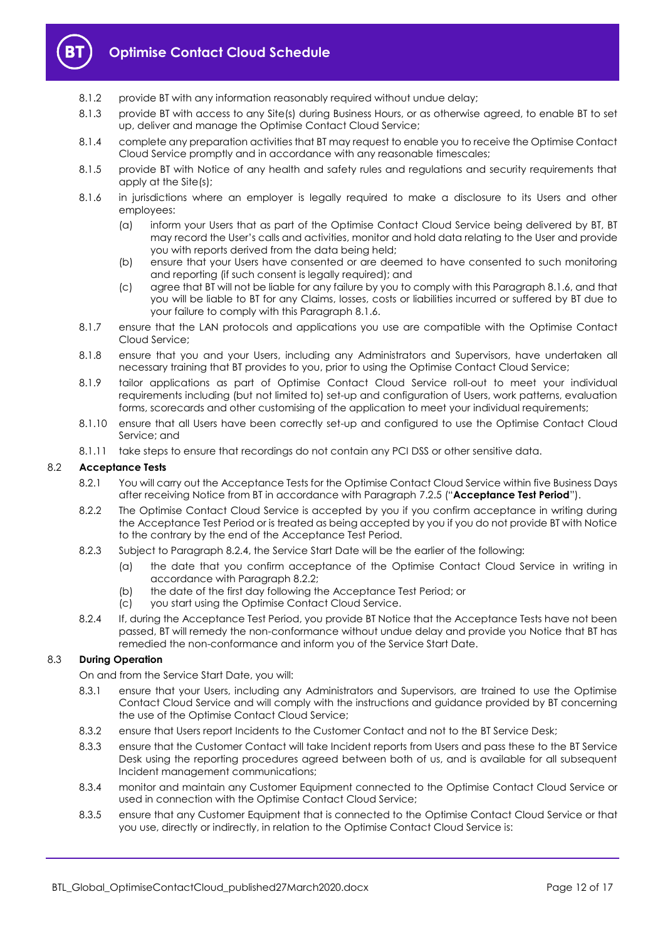

- 8.1.2 provide BT with any information reasonably required without undue delay;
- 8.1.3 provide BT with access to any Site(s) during Business Hours, or as otherwise agreed, to enable BT to set up, deliver and manage the Optimise Contact Cloud Service;
- 8.1.4 complete any preparation activities that BT may request to enable you to receive the Optimise Contact Cloud Service promptly and in accordance with any reasonable timescales;
- 8.1.5 provide BT with Notice of any health and safety rules and regulations and security requirements that apply at the Site(s);
- <span id="page-11-1"></span>8.1.6 in jurisdictions where an employer is legally required to make a disclosure to its Users and other employees:
	- (a) inform your Users that as part of the Optimise Contact Cloud Service being delivered by BT, BT may record the User's calls and activities, monitor and hold data relating to the User and provide you with reports derived from the data being held;
	- (b) ensure that your Users have consented or are deemed to have consented to such monitoring and reporting (if such consent is legally required); and
	- (c) agree that BT will not be liable for any failure by you to comply with this Paragrap[h 8.1.6,](#page-11-1) and that you will be liable to BT for any Claims, losses, costs or liabilities incurred or suffered by BT due to your failure to comply with this Paragraph [8.1.6.](#page-11-1)
- 8.1.7 ensure that the LAN protocols and applications you use are compatible with the Optimise Contact Cloud Service;
- 8.1.8 ensure that you and your Users, including any Administrators and Supervisors, have undertaken all necessary training that BT provides to you, prior to using the Optimise Contact Cloud Service;
- 8.1.9 tailor applications as part of Optimise Contact Cloud Service roll-out to meet your individual requirements including (but not limited to) set-up and configuration of Users, work patterns, evaluation forms, scorecards and other customising of the application to meet your individual requirements;
- 8.1.10 ensure that all Users have been correctly set-up and configured to use the Optimise Contact Cloud Service; and
- 8.1.11 take steps to ensure that recordings do not contain any PCI DSS or other sensitive data.

#### <span id="page-11-4"></span><span id="page-11-0"></span>8.2 **Acceptance Tests**

- 8.2.1 You will carry out the Acceptance Tests for the Optimise Contact Cloud Service within five Business Days after receiving Notice from BT in accordance with Paragraph [7.2.5](#page-10-4) ("**Acceptance Test Period**").
- <span id="page-11-3"></span>8.2.2 The Optimise Contact Cloud Service is accepted by you if you confirm acceptance in writing during the Acceptance Test Period or is treated as being accepted by you if you do not provide BT with Notice to the contrary by the end of the Acceptance Test Period.
- 8.2.3 Subject to Paragraph [8.2.4,](#page-11-2) the Service Start Date will be the earlier of the following:
	- (a) the date that you confirm acceptance of the Optimise Contact Cloud Service in writing in accordance with Paragrap[h 8.2.2;](#page-11-3)
	- (b) the date of the first day following the Acceptance Test Period; or
	- (c) you start using the Optimise Contact Cloud Service.
- <span id="page-11-2"></span>8.2.4 If, during the Acceptance Test Period, you provide BT Notice that the Acceptance Tests have not been passed, BT will remedy the non-conformance without undue delay and provide you Notice that BT has remedied the non-conformance and inform you of the Service Start Date.

#### 8.3 **During Operation**

On and from the Service Start Date, you will:

- 8.3.1 ensure that your Users, including any Administrators and Supervisors, are trained to use the Optimise Contact Cloud Service and will comply with the instructions and guidance provided by BT concerning the use of the Optimise Contact Cloud Service;
- 8.3.2 ensure that Users report Incidents to the Customer Contact and not to the BT Service Desk;
- 8.3.3 ensure that the Customer Contact will take Incident reports from Users and pass these to the BT Service Desk using the reporting procedures agreed between both of us, and is available for all subsequent Incident management communications;
- 8.3.4 monitor and maintain any Customer Equipment connected to the Optimise Contact Cloud Service or used in connection with the Optimise Contact Cloud Service;
- 8.3.5 ensure that any Customer Equipment that is connected to the Optimise Contact Cloud Service or that you use, directly or indirectly, in relation to the Optimise Contact Cloud Service is: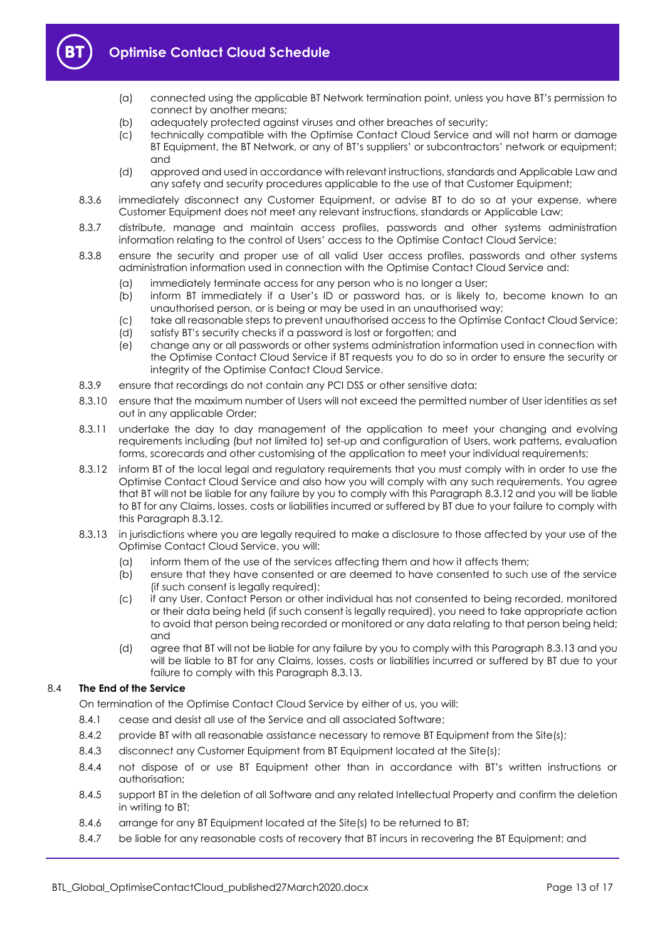

- (a) connected using the applicable BT Network termination point, unless you have BT's permission to connect by another means;
- (b) adequately protected against viruses and other breaches of security;
- (c) technically compatible with the Optimise Contact Cloud Service and will not harm or damage BT Equipment, the BT Network, or any of BT's suppliers' or subcontractors' network or equipment; and
- (d) approved and used in accordance with relevant instructions, standards and Applicable Law and any safety and security procedures applicable to the use of that Customer Equipment;
- 8.3.6 immediately disconnect any Customer Equipment, or advise BT to do so at your expense, where Customer Equipment does not meet any relevant instructions, standards or Applicable Law;
- 8.3.7 distribute, manage and maintain access profiles, passwords and other systems administration information relating to the control of Users' access to the Optimise Contact Cloud Service;
- 8.3.8 ensure the security and proper use of all valid User access profiles, passwords and other systems administration information used in connection with the Optimise Contact Cloud Service and:
	- (a) immediately terminate access for any person who is no longer a User;
	- (b) inform BT immediately if a User's ID or password has, or is likely to, become known to an unauthorised person, or is being or may be used in an unauthorised way;
	- (c) take all reasonable steps to prevent unauthorised access to the Optimise Contact Cloud Service;
	- (d) satisfy BT's security checks if a password is lost or forgotten; and
	- (e) change any or all passwords or other systems administration information used in connection with the Optimise Contact Cloud Service if BT requests you to do so in order to ensure the security or integrity of the Optimise Contact Cloud Service.
- 8.3.9 ensure that recordings do not contain any PCI DSS or other sensitive data;
- 8.3.10 ensure that the maximum number of Users will not exceed the permitted number of User identities as set out in any applicable Order;
- 8.3.11 undertake the day to day management of the application to meet your changing and evolving requirements including (but not limited to) set-up and configuration of Users, work patterns, evaluation forms, scorecards and other customising of the application to meet your individual requirements;
- <span id="page-12-0"></span>8.3.12 inform BT of the local legal and regulatory requirements that you must comply with in order to use the Optimise Contact Cloud Service and also how you will comply with any such requirements. You agree that BT will not be liable for any failure by you to comply with this Paragraph [8.3.12](#page-12-0) and you will be liable to BT for any Claims, losses, costs or liabilities incurred or suffered by BT due to your failure to comply with this Paragraph [8.3.12.](#page-12-0)
- <span id="page-12-1"></span>8.3.13 in jurisdictions where you are legally required to make a disclosure to those affected by your use of the Optimise Contact Cloud Service, you will:
	- (a) inform them of the use of the services affecting them and how it affects them;
	- (b) ensure that they have consented or are deemed to have consented to such use of the service (if such consent is legally required);
	- (c) if any User, Contact Person or other individual has not consented to being recorded, monitored or their data being held (if such consent is legally required), you need to take appropriate action to avoid that person being recorded or monitored or any data relating to that person being held; and
	- (d) agree that BT will not be liable for any failure by you to comply with this Paragrap[h 8.3.13](#page-12-1) and you will be liable to BT for any Claims, losses, costs or liabilities incurred or suffered by BT due to your failure to comply with this Paragraph [8.3.13.](#page-12-1)

#### 8.4 **The End of the Service**

On termination of the Optimise Contact Cloud Service by either of us, you will:

- 8.4.1 cease and desist all use of the Service and all associated Software;
- 8.4.2 provide BT with all reasonable assistance necessary to remove BT Equipment from the Site(s);
- 8.4.3 disconnect any Customer Equipment from BT Equipment located at the Site(s);
- 8.4.4 not dispose of or use BT Equipment other than in accordance with BT's written instructions or authorisation;
- 8.4.5 support BT in the deletion of all Software and any related Intellectual Property and confirm the deletion in writing to BT;
- 8.4.6 arrange for any BT Equipment located at the Site(s) to be returned to BT;
- 8.4.7 be liable for any reasonable costs of recovery that BT incurs in recovering the BT Equipment; and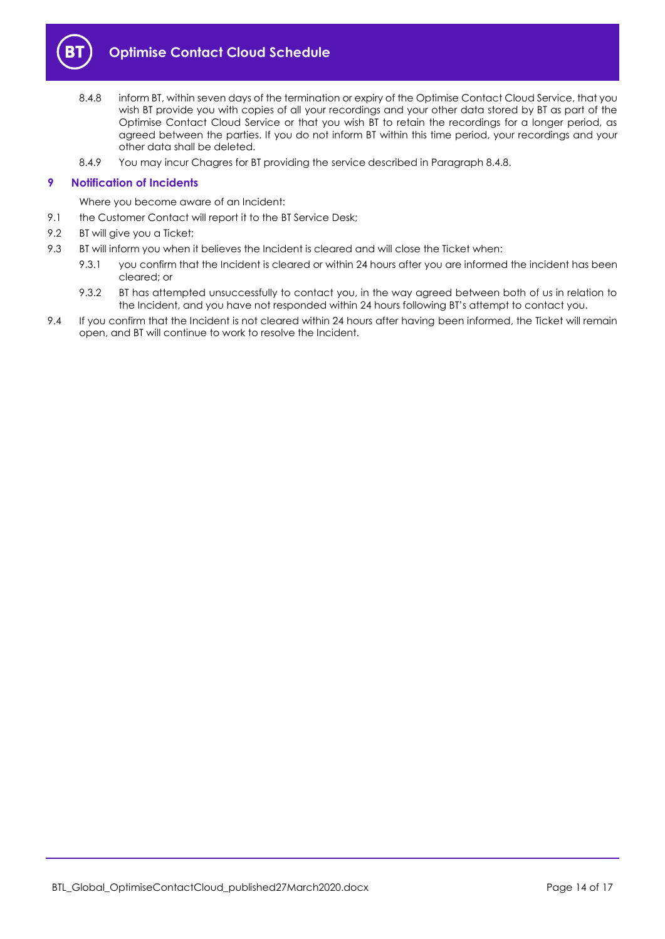

- <span id="page-13-1"></span>8.4.8 inform BT, within seven days of the termination or expiry of the Optimise Contact Cloud Service, that you wish BT provide you with copies of all your recordings and your other data stored by BT as part of the Optimise Contact Cloud Service or that you wish BT to retain the recordings for a longer period, as agreed between the parties. If you do not inform BT within this time period, your recordings and your other data shall be deleted.
- 8.4.9 You may incur Chagres for BT providing the service described in Paragraph [8.4.8.](#page-13-1)

#### <span id="page-13-0"></span>**9 Notification of Incidents**

- Where you become aware of an Incident:
- 9.1 the Customer Contact will report it to the BT Service Desk;
- 9.2 BT will give you a Ticket;
- 9.3 BT will inform you when it believes the Incident is cleared and will close the Ticket when:
	- 9.3.1 you confirm that the Incident is cleared or within 24 hours after you are informed the incident has been cleared; or
	- 9.3.2 BT has attempted unsuccessfully to contact you, in the way agreed between both of us in relation to the Incident, and you have not responded within 24 hours following BT's attempt to contact you.
- 9.4 If you confirm that the Incident is not cleared within 24 hours after having been informed, the Ticket will remain open, and BT will continue to work to resolve the Incident.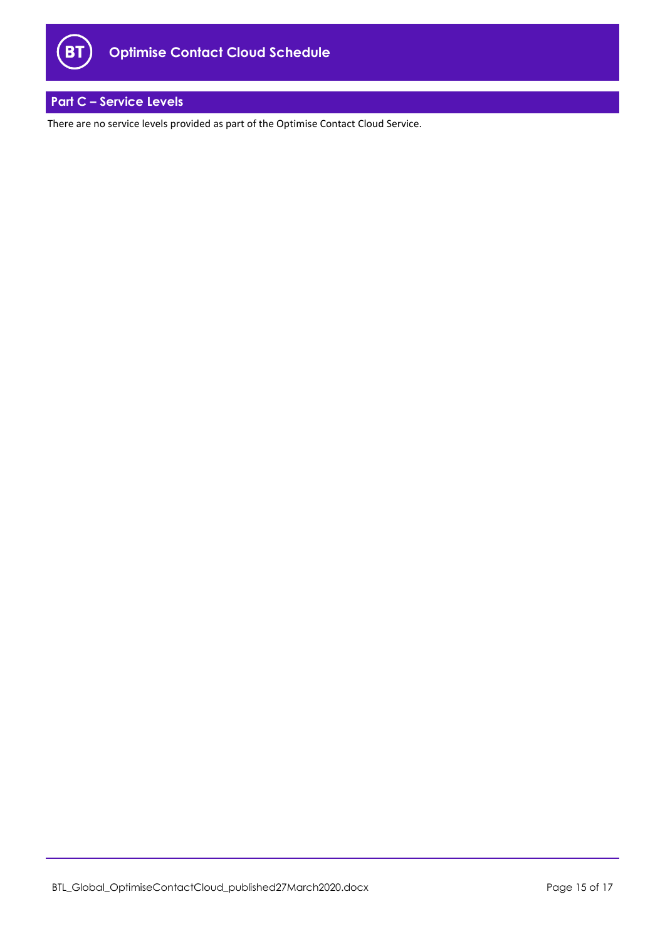

## <span id="page-14-0"></span>**Part C – Service Levels**

There are no service levels provided as part of the Optimise Contact Cloud Service.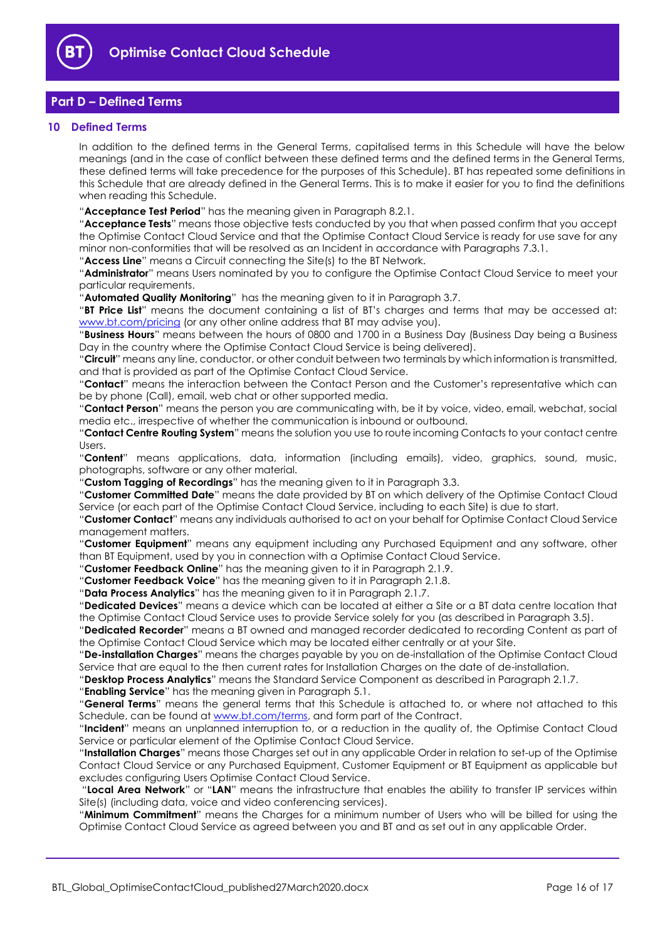

## <span id="page-15-0"></span>**Part D – Defined Terms**

#### <span id="page-15-1"></span>**10 Defined Terms**

In addition to the defined terms in the General Terms, capitalised terms in this Schedule will have the below meanings (and in the case of conflict between these defined terms and the defined terms in the General Terms, these defined terms will take precedence for the purposes of this Schedule). BT has repeated some definitions in this Schedule that are already defined in the General Terms. This is to make it easier for you to find the definitions when reading this Schedule.

"**Acceptance Test Period**" has the meaning given in Paragraph [8.2.1.](#page-11-4)

"**Acceptance Tests**" means those objective tests conducted by you that when passed confirm that you accept the Optimise Contact Cloud Service and that the Optimise Contact Cloud Service is ready for use save for any minor non-conformities that will be resolved as an Incident in accordance with Paragraphs [7.3.1.](#page-10-5)

"**Access Line**" means a Circuit connecting the Site(s) to the BT Network.

"**Administrator**" means Users nominated by you to configure the Optimise Contact Cloud Service to meet your particular requirements.

"**Automated Quality Monitoring**" has the meaning given to it in Paragraph [3.7.](#page-4-1)

"**BT Price List**" means the document containing a list of BT's charges and terms that may be accessed at: [www.bt.com/pricing](http://www.bt.com/pricing) (or any other online address that BT may advise you).

"**Business Hours**" means between the hours of 0800 and 1700 in a Business Day (Business Day being a Business Day in the country where the Optimise Contact Cloud Service is being delivered).

"**Circuit**" means any line, conductor, or other conduit between two terminals by which information is transmitted, and that is provided as part of the Optimise Contact Cloud Service.

"**Contact**" means the interaction between the Contact Person and the Customer's representative which can be by phone (Call), email, web chat or other supported media.

"**Contact Person**" means the person you are communicating with, be it by voice, video, email, webchat, social media etc., irrespective of whether the communication is inbound or outbound.

"**Contact Centre Routing System**" means the solution you use to route incoming Contacts to your contact centre Users.

"**Content**" means applications, data, information (including emails), video, graphics, sound, music, photographs, software or any other material.

"**Custom Tagging of Recordings**" has the meaning given to it in Paragraph [3.3.](#page-3-2)

"**Customer Committed Date**" means the date provided by BT on which delivery of the Optimise Contact Cloud Service (or each part of the Optimise Contact Cloud Service, including to each Site) is due to start.

"**Customer Contact**" means any individuals authorised to act on your behalf for Optimise Contact Cloud Service management matters.

"**Customer Equipment**" means any equipment including any Purchased Equipment and any software, other than BT Equipment, used by you in connection with a Optimise Contact Cloud Service.

"**Customer Feedback Online**" has the meaning given to it in Paragraph [2.1.9.](#page-3-3)

"**Customer Feedback Voice**" has the meaning given to it in Paragraph [2.1.8.](#page-3-1)

"**Data Process Analytics**" has the meaning given to it in Paragraph [2.1.7.](#page-2-3)

"**Dedicated Devices**" means a device which can be located at either a Site or a BT data centre location that the Optimise Contact Cloud Service uses to provide Service solely for you (as described in Paragraph 3.5).

"**Dedicated Recorder**" means a BT owned and managed recorder dedicated to recording Content as part of the Optimise Contact Cloud Service which may be located either centrally or at your Site.

"**De-installation Charges**" means the charges payable by you on de-installation of the Optimise Contact Cloud Service that are equal to the then current rates for Installation Charges on the date of de-installation.

"**Desktop Process Analytics**" means the Standard Service Component as described in Paragraph [2.1.7.](#page-2-3)

"**Enabling Service**" has the meaning given in Paragrap[h 5.1.](#page-5-2)

"**General Terms**" means the general terms that this Schedule is attached to, or where not attached to this Schedule, can be found at [www.bt.com/terms,](http://www.bt.com/terms) and form part of the Contract.

"**Incident**" means an unplanned interruption to, or a reduction in the quality of, the Optimise Contact Cloud Service or particular element of the Optimise Contact Cloud Service.

"**Installation Charges**" means those Charges set out in any applicable Order in relation to set-up of the Optimise Contact Cloud Service or any Purchased Equipment, Customer Equipment or BT Equipment as applicable but excludes configuring Users Optimise Contact Cloud Service.

"**Local Area Network**" or "**LAN**" means the infrastructure that enables the ability to transfer IP services within Site(s) (including data, voice and video conferencing services).

"**Minimum Commitment**" means the Charges for a minimum number of Users who will be billed for using the Optimise Contact Cloud Service as agreed between you and BT and as set out in any applicable Order.